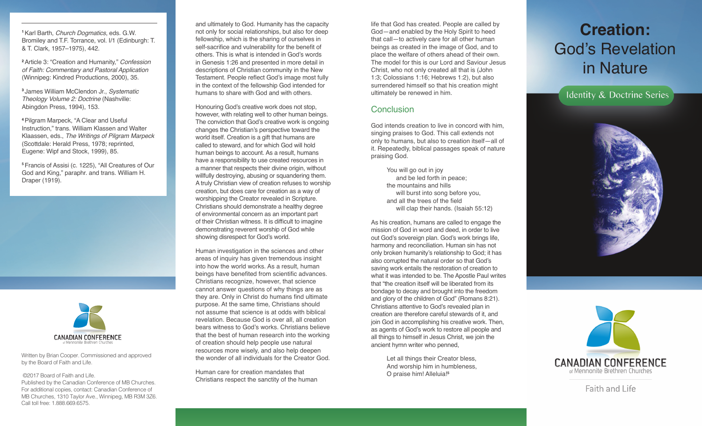**<sup>1</sup>**Karl Barth, *Church Dogmatics*, eds. G.W. Bromiley and T.F. Torrance, vol. I/1 (Edinburgh: T. & T. Clark, 1957–1975), 442.

**<sup>2</sup>**Article 3: "Creation and Humanity," *Confession of Faith: Commentary and Pastoral Application* (Winnipeg: Kindred Productions, 2000), 35.

**<sup>3</sup>** James William McClendon Jr., *Systematic Theology Volume 2: Doctrine* (Nashville: Abingdon Press, 1994), 153.

**<sup>4</sup>**Pilgram Marpeck, "A Clear and Useful Instruction," trans. William Klassen and Walter Klaassen, eds., *The Writings of Pilgram Marpeck* (Scottdale: Herald Press, 1978; reprinted, Eugene: Wipf and Stock, 1999), 85.

**<sup>5</sup>**Francis of Assisi (c. 1225), "All Creatures of Our God and King," paraphr. and trans. William H. Draper (1919).



Written by Brian Cooper. Commissioned and approved by the Board of Faith and Life.

©2017 Board of Faith and Life.

Published by the Canadian Conference of MB Churches. For additional copies, contact: Canadian Conference of MB Churches, 1310 Taylor Ave., Winnipeg, MB R3M 3Z6. Call toll free: 1.888.669.6575.

and ultimately to God. Humanity has the capacity not only for social relationships, but also for deep fellowship, which is the sharing of ourselves in self-sacrifice and vulnerability for the benefit of others. This is what is intended in God's words in Genesis 1:26 and presented in more detail in descriptions of Christian community in the New Testament. People reflect God's image most fully in the context of the fellowship God intended for humans to share with God and with others.

Honouring God's creative work does not stop, however, with relating well to other human beings. The conviction that God's creative work is ongoing changes the Christian's perspective toward the world itself. Creation is a gift that humans are called to steward, and for which God will hold human beings to account. As a result, humans have a responsibility to use created resources in a manner that respects their divine origin, without willfully destroying, abusing or squandering them. A truly Christian view of creation refuses to worship creation, but does care for creation as a way of worshipping the Creator revealed in Scripture. Christians should demonstrate a healthy degree of environmental concern as an important part of their Christian witness. It is difficult to imagine demonstrating reverent worship of God while showing disrespect for God's world.

Human investigation in the sciences and other areas of inquiry has given tremendous insight into how the world works. As a result, human beings have benefited from scientific advances. Christians recognize, however, that science cannot answer questions of why things are as they are. Only in Christ do humans find ultimate purpose. At the same time, Christians should not assume that science is at odds with biblical revelation. Because God is over all, all creation bears witness to God's works. Christians believe that the best of human research into the working of creation should help people use natural resources more wisely, and also help deepen the wonder of all individuals for the Creator God.

Human care for creation mandates that Christians respect the sanctity of the human

life that God has created. People are called by God—and enabled by the Holy Spirit to heed that call—to actively care for all other human beings as created in the image of God, and to place the welfare of others ahead of their own. The model for this is our Lord and Saviour Jesus Christ, who not only created all that is (John 1:3; Colossians 1:16; Hebrews 1:2), but also surrendered himself so that his creation might ultimately be renewed in him.

#### **Conclusion**

God intends creation to live in concord with him, singing praises to God. This call extends not only to humans, but also to creation itself—all of it. Repeatedly, biblical passages speak of nature praising God.

> You will go out in joy and be led forth in peace; the mountains and hills will burst into song before you, and all the trees of the field will clap their hands. (Isaiah 55:12)

As his creation, humans are called to engage the mission of God in word and deed, in order to live out God's sovereign plan. God's work brings life, harmony and reconciliation. Human sin has not only broken humanity's relationship to God; it has also corrupted the natural order so that God's saving work entails the restoration of creation to what it was intended to be. The Apostle Paul writes that "the creation itself will be liberated from its bondage to decay and brought into the freedom and glory of the children of God" (Romans 8:21). Christians attentive to God's revealed plan in creation are therefore careful stewards of it, and join God in accomplishing his creative work. Then, as agents of God's work to restore all people and all things to himself in Jesus Christ, we join the ancient hymn writer who penned,

> Let all things their Creator bless, And worship him in humbleness, O praise him! Alleluia!**<sup>5</sup>**

## **Creation:**  God's Revelation in Nature

Identity & Doctrine Series





Faith and Life